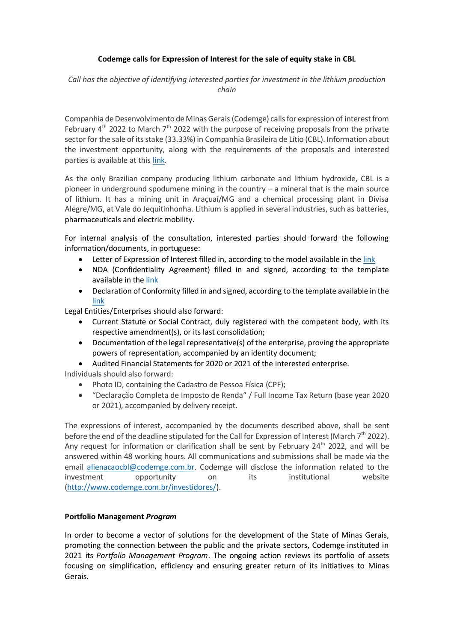## **Codemge calls for Expression of Interest for the sale of equity stake in CBL**

*Call has the objective of identifying interested parties for investment in the lithium production chain* 

Companhia de Desenvolvimento de Minas Gerais(Codemge) calls for expression of interest from February  $4^{\text{th}}$  2022 to March  $7^{\text{th}}$  2022 with the purpose of receiving proposals from the private sector for the sale of its stake (33.33%) in Companhia Brasileira de Lítio (CBL). Information about the investment opportunity, along with the requirements of the proposals and interested parties is available at this [link.](http://www.codemge.com.br/investidores/)

As the only Brazilian company producing lithium carbonate and lithium hydroxide, CBL is a pioneer in underground spodumene mining in the country – a mineral that is the main source of lithium. It has a mining unit in Araçuaí/MG and a chemical processing plant in Divisa Alegre/MG, at Vale do Jequitinhonha. Lithium is applied in several industries, such as batteries, pharmaceuticals and electric mobility.

For internal analysis of the consultation, interested parties should forward the following information/documents, in portuguese:

- Letter of Expression of Interest filled in, according to the model available in the [link](http://www.codemge.com.br/wp-content/uploads/2022/02/05-carta-de-manifestacao-de-interesse-codemge-vf-1.docx)
- NDA (Confidentiality Agreement) filled in and signed, according to the template available in th[e link](http://www.codemge.com.br/wp-content/uploads/2022/02/03-nda-confidencialidade-vf.docx)
- Declaration of Conformity filled in and signed, according to the template available in the [link](http://www.codemge.com.br/wp-content/uploads/2022/02/04-certificado-de-conformidade-vf.docx)

Legal Entities/Enterprises should also forward:

- Current Statute or Social Contract, duly registered with the competent body, with its respective amendment(s), or its last consolidation;
- Documentation of the legal representative(s) of the enterprise, proving the appropriate powers of representation, accompanied by an identity document;
- Audited Financial Statements for 2020 or 2021 of the interested enterprise.

Individuals should also forward:

- Photo ID, containing the Cadastro de Pessoa Física (CPF);
- "Declaração Completa de Imposto de Renda" / Full Income Tax Return (base year 2020 or 2021), accompanied by delivery receipt.

The expressions of interest, accompanied by the documents described above, shall be sent before the end of the deadline stipulated for the Call for Expression of Interest (March  $7<sup>th</sup>$  2022). Any request for information or clarification shall be sent by February  $24<sup>th</sup>$  2022, and will be answered within 48 working hours. All communications and submissions shall be made via the email [alienacaocbl@codemge.com.br.](mailto:alienacaocbl@codemge.com.br) Codemge will disclose the information related to the investment opportunity on its institutional website [\(http://www.codemge.com.br/investidores/\)](http://www.codemge.com.br/investidores/).

## **Portfolio Management** *Program*

In order to become a vector of solutions for the development of the State of Minas Gerais, promoting the connection between the public and the private sectors, Codemge instituted in 2021 its *Portfolio Management Program*. The ongoing action reviews its portfolio of assets focusing on simplification, efficiency and ensuring greater return of its initiatives to Minas Gerais.